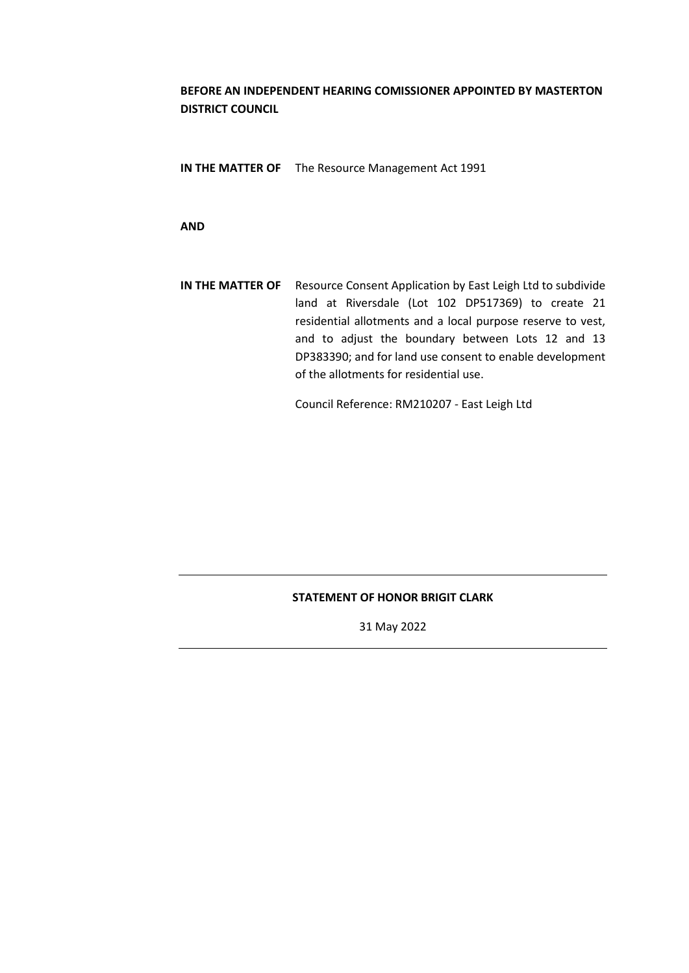# **BEFORE AN INDEPENDENT HEARING COMISSIONER APPOINTED BY MASTERTON DISTRICT COUNCIL**

**IN THE MATTER OF** The Resource Management Act 1991

**AND**

**IN THE MATTER OF** Resource Consent Application by East Leigh Ltd to subdivide land at Riversdale (Lot 102 DP517369) to create 21 residential allotments and a local purpose reserve to vest, and to adjust the boundary between Lots 12 and 13 DP383390; and for land use consent to enable development of the allotments for residential use.

Council Reference: RM210207 - East Leigh Ltd

## **STATEMENT OF HONOR BRIGIT CLARK**

31 May 2022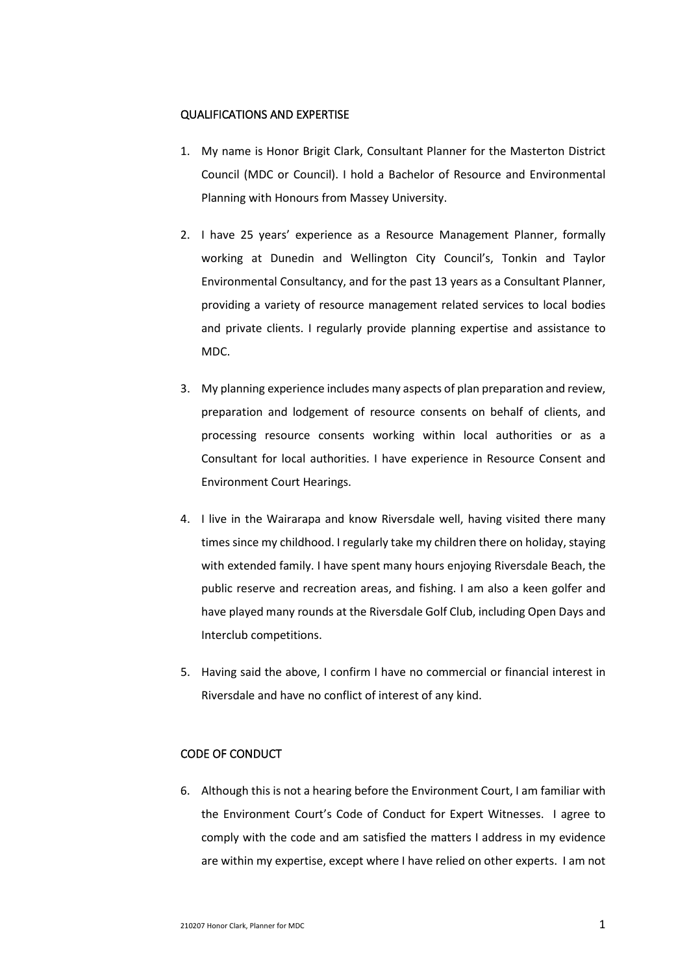### QUALIFICATIONS AND EXPERTISE

- 1. My name is Honor Brigit Clark, Consultant Planner for the Masterton District Council (MDC or Council). I hold a Bachelor of Resource and Environmental Planning with Honours from Massey University.
- 2. I have 25 years' experience as a Resource Management Planner, formally working at Dunedin and Wellington City Council's, Tonkin and Taylor Environmental Consultancy, and for the past 13 years as a Consultant Planner, providing a variety of resource management related services to local bodies and private clients. I regularly provide planning expertise and assistance to MDC.
- 3. My planning experience includes many aspects of plan preparation and review, preparation and lodgement of resource consents on behalf of clients, and processing resource consents working within local authorities or as a Consultant for local authorities. I have experience in Resource Consent and Environment Court Hearings.
- 4. I live in the Wairarapa and know Riversdale well, having visited there many times since my childhood. I regularly take my children there on holiday, staying with extended family. I have spent many hours enjoying Riversdale Beach, the public reserve and recreation areas, and fishing. I am also a keen golfer and have played many rounds at the Riversdale Golf Club, including Open Days and Interclub competitions.
- 5. Having said the above, I confirm I have no commercial or financial interest in Riversdale and have no conflict of interest of any kind.

# CODE OF CONDUCT

6. Although this is not a hearing before the Environment Court, I am familiar with the Environment Court's Code of Conduct for Expert Witnesses. I agree to comply with the code and am satisfied the matters I address in my evidence are within my expertise, except where I have relied on other experts. I am not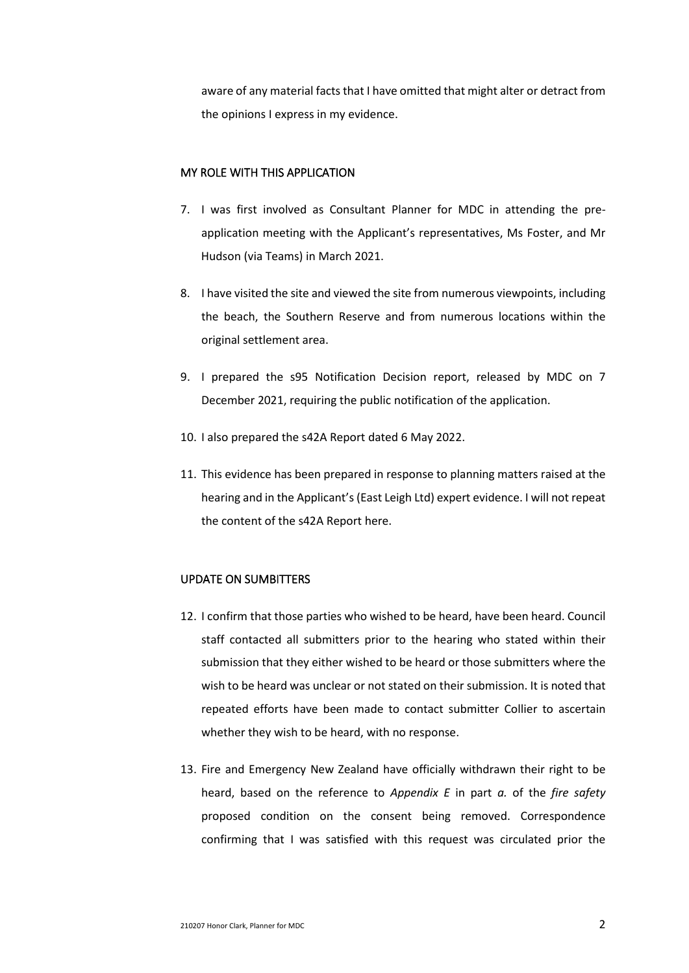aware of any material facts that I have omitted that might alter or detract from the opinions I express in my evidence.

#### MY ROLE WITH THIS APPLICATION

- 7. I was first involved as Consultant Planner for MDC in attending the preapplication meeting with the Applicant's representatives, Ms Foster, and Mr Hudson (via Teams) in March 2021.
- 8. I have visited the site and viewed the site from numerous viewpoints, including the beach, the Southern Reserve and from numerous locations within the original settlement area.
- 9. I prepared the s95 Notification Decision report, released by MDC on 7 December 2021, requiring the public notification of the application.
- 10. I also prepared the s42A Report dated 6 May 2022.
- 11. This evidence has been prepared in response to planning matters raised at the hearing and in the Applicant's (East Leigh Ltd) expert evidence. I will not repeat the content of the s42A Report here.

### UPDATE ON SUMBITTERS

- 12. I confirm that those parties who wished to be heard, have been heard. Council staff contacted all submitters prior to the hearing who stated within their submission that they either wished to be heard or those submitters where the wish to be heard was unclear or not stated on their submission. It is noted that repeated efforts have been made to contact submitter Collier to ascertain whether they wish to be heard, with no response.
- 13. Fire and Emergency New Zealand have officially withdrawn their right to be heard, based on the reference to *Appendix E* in part *a.* of the *fire safety* proposed condition on the consent being removed. Correspondence confirming that I was satisfied with this request was circulated prior the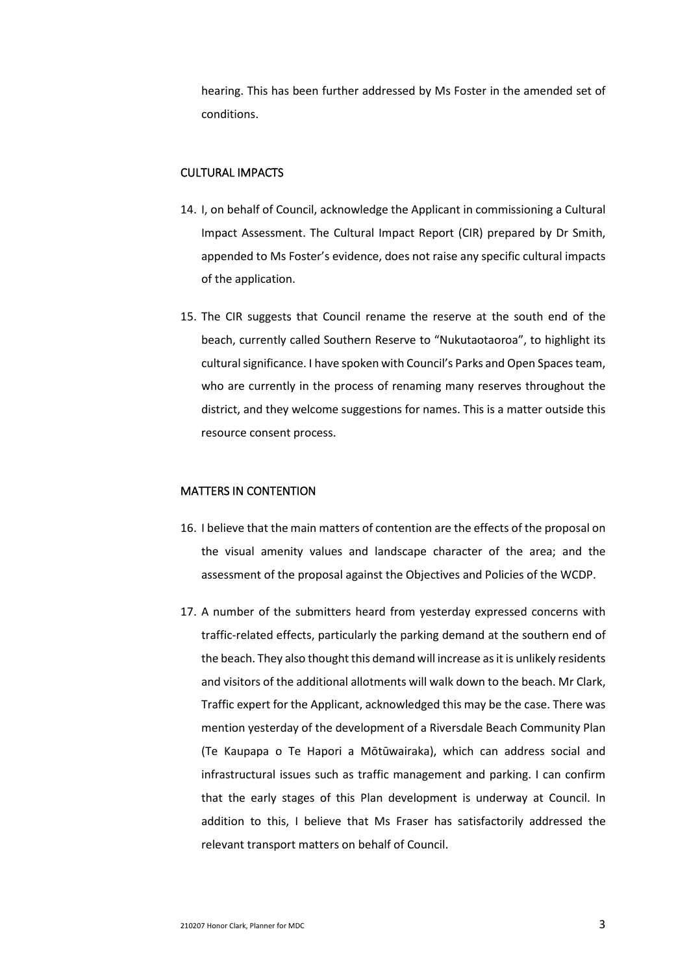hearing. This has been further addressed by Ms Foster in the amended set of conditions.

### CULTURAL IMPACTS

- 14. I, on behalf of Council, acknowledge the Applicant in commissioning a Cultural Impact Assessment. The Cultural Impact Report (CIR) prepared by Dr Smith, appended to Ms Foster's evidence, does not raise any specific cultural impacts of the application.
- 15. The CIR suggests that Council rename the reserve at the south end of the beach, currently called Southern Reserve to "Nukutaotaoroa", to highlight its cultural significance. I have spoken with Council's Parks and Open Spaces team, who are currently in the process of renaming many reserves throughout the district, and they welcome suggestions for names. This is a matter outside this resource consent process.

# MATTERS IN CONTENTION

- 16. I believe that the main matters of contention are the effects of the proposal on the visual amenity values and landscape character of the area; and the assessment of the proposal against the Objectives and Policies of the WCDP.
- 17. A number of the submitters heard from yesterday expressed concerns with traffic-related effects, particularly the parking demand at the southern end of the beach. They also thought this demand will increase as it is unlikely residents and visitors of the additional allotments will walk down to the beach. Mr Clark, Traffic expert for the Applicant, acknowledged this may be the case. There was mention yesterday of the development of a Riversdale Beach Community Plan (Te Kaupapa o Te Hapori a Mōtūwairaka), which can address social and infrastructural issues such as traffic management and parking. I can confirm that the early stages of this Plan development is underway at Council. In addition to this, I believe that Ms Fraser has satisfactorily addressed the relevant transport matters on behalf of Council.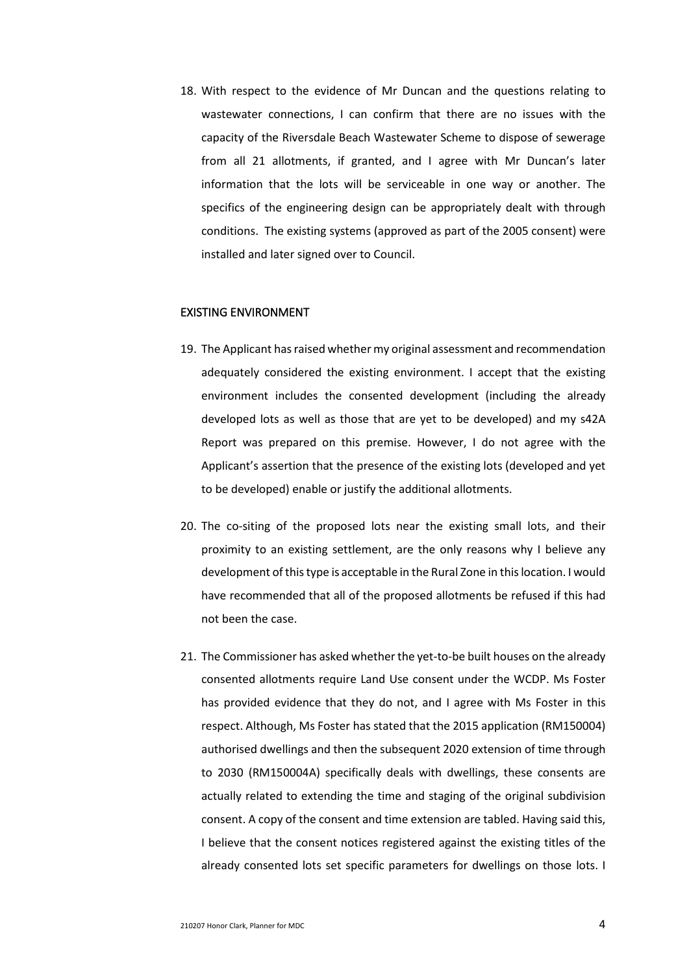18. With respect to the evidence of Mr Duncan and the questions relating to wastewater connections, I can confirm that there are no issues with the capacity of the Riversdale Beach Wastewater Scheme to dispose of sewerage from all 21 allotments, if granted, and I agree with Mr Duncan's later information that the lots will be serviceable in one way or another. The specifics of the engineering design can be appropriately dealt with through conditions. The existing systems (approved as part of the 2005 consent) were installed and later signed over to Council.

## EXISTING ENVIRONMENT

- 19. The Applicant has raised whether my original assessment and recommendation adequately considered the existing environment. I accept that the existing environment includes the consented development (including the already developed lots as well as those that are yet to be developed) and my s42A Report was prepared on this premise. However, I do not agree with the Applicant's assertion that the presence of the existing lots (developed and yet to be developed) enable or justify the additional allotments.
- 20. The co-siting of the proposed lots near the existing small lots, and their proximity to an existing settlement, are the only reasons why I believe any development of this type is acceptable in the Rural Zone in this location. I would have recommended that all of the proposed allotments be refused if this had not been the case.
- 21. The Commissioner has asked whether the yet-to-be built houses on the already consented allotments require Land Use consent under the WCDP. Ms Foster has provided evidence that they do not, and I agree with Ms Foster in this respect. Although, Ms Foster has stated that the 2015 application (RM150004) authorised dwellings and then the subsequent 2020 extension of time through to 2030 (RM150004A) specifically deals with dwellings, these consents are actually related to extending the time and staging of the original subdivision consent. A copy of the consent and time extension are tabled. Having said this, I believe that the consent notices registered against the existing titles of the already consented lots set specific parameters for dwellings on those lots. I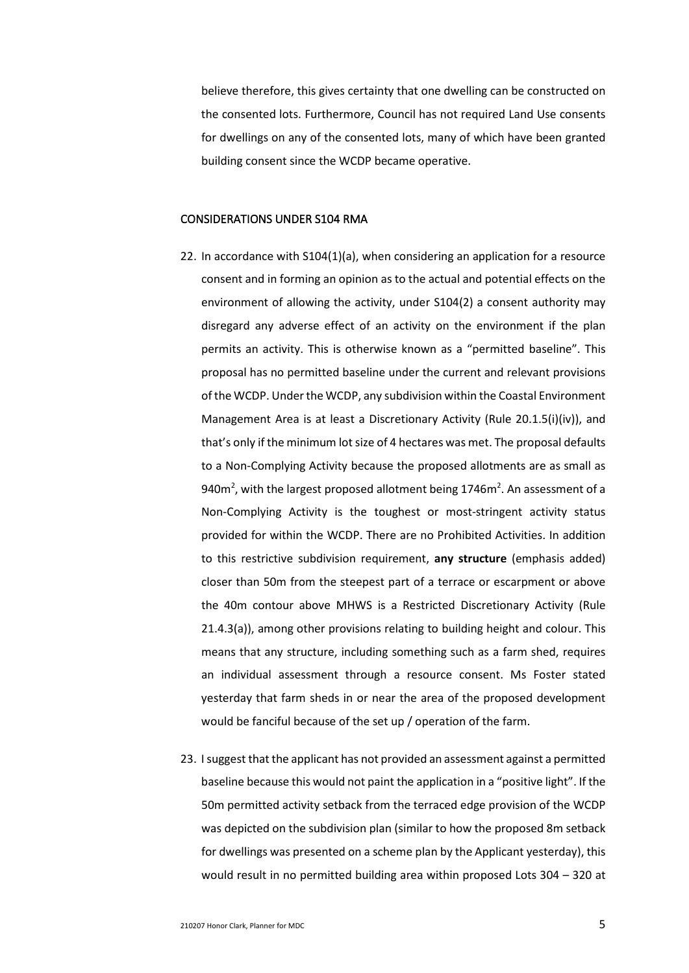believe therefore, this gives certainty that one dwelling can be constructed on the consented lots. Furthermore, Council has not required Land Use consents for dwellings on any of the consented lots, many of which have been granted building consent since the WCDP became operative.

#### CONSIDERATIONS UNDER S104 RMA

- 22. In accordance with S104(1)(a), when considering an application for a resource consent and in forming an opinion as to the actual and potential effects on the environment of allowing the activity, under S104(2) a consent authority may disregard any adverse effect of an activity on the environment if the plan permits an activity. This is otherwise known as a "permitted baseline". This proposal has no permitted baseline under the current and relevant provisions of the WCDP. Under the WCDP, any subdivision within the Coastal Environment Management Area is at least a Discretionary Activity (Rule 20.1.5(i)(iv)), and that's only if the minimum lot size of 4 hectares was met. The proposal defaults to a Non-Complying Activity because the proposed allotments are as small as 940 $m^2$ , with the largest proposed allotment being 1746 $m^2$ . An assessment of a Non-Complying Activity is the toughest or most-stringent activity status provided for within the WCDP. There are no Prohibited Activities. In addition to this restrictive subdivision requirement, **any structure** (emphasis added) closer than 50m from the steepest part of a terrace or escarpment or above the 40m contour above MHWS is a Restricted Discretionary Activity (Rule 21.4.3(a)), among other provisions relating to building height and colour. This means that any structure, including something such as a farm shed, requires an individual assessment through a resource consent. Ms Foster stated yesterday that farm sheds in or near the area of the proposed development would be fanciful because of the set up / operation of the farm.
- 23. I suggest that the applicant has not provided an assessment against a permitted baseline because this would not paint the application in a "positive light". If the 50m permitted activity setback from the terraced edge provision of the WCDP was depicted on the subdivision plan (similar to how the proposed 8m setback for dwellings was presented on a scheme plan by the Applicant yesterday), this would result in no permitted building area within proposed Lots 304 – 320 at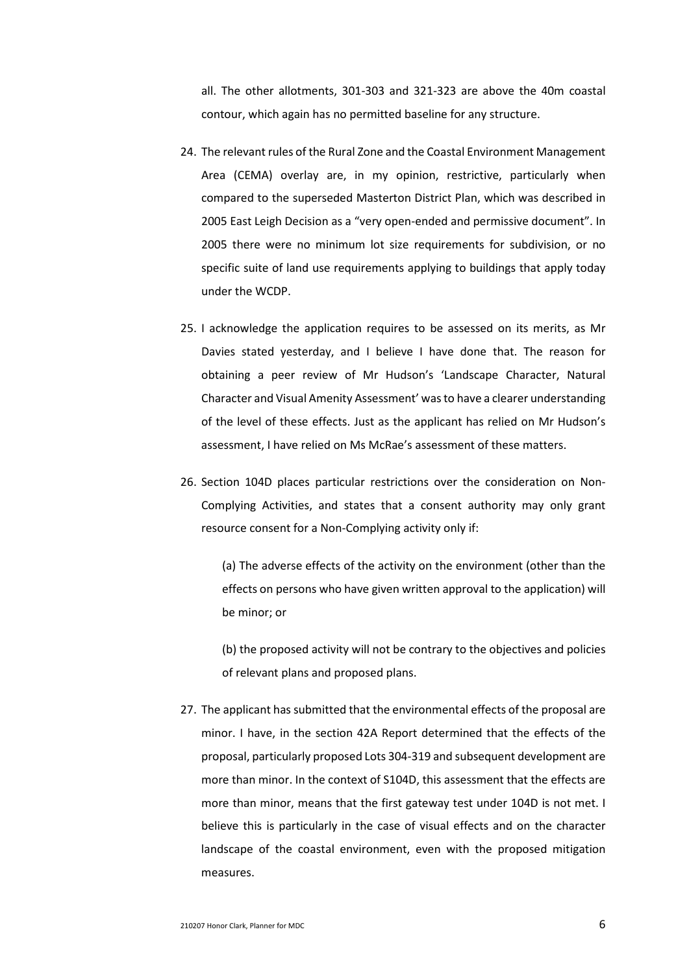all. The other allotments, 301-303 and 321-323 are above the 40m coastal contour, which again has no permitted baseline for any structure.

- 24. The relevant rules of the Rural Zone and the Coastal Environment Management Area (CEMA) overlay are, in my opinion, restrictive, particularly when compared to the superseded Masterton District Plan, which was described in 2005 East Leigh Decision as a "very open-ended and permissive document". In 2005 there were no minimum lot size requirements for subdivision, or no specific suite of land use requirements applying to buildings that apply today under the WCDP.
- 25. I acknowledge the application requires to be assessed on its merits, as Mr Davies stated yesterday, and I believe I have done that. The reason for obtaining a peer review of Mr Hudson's 'Landscape Character, Natural Character and Visual Amenity Assessment' was to have a clearer understanding of the level of these effects. Just as the applicant has relied on Mr Hudson's assessment, I have relied on Ms McRae's assessment of these matters.
- 26. Section 104D places particular restrictions over the consideration on Non-Complying Activities, and states that a consent authority may only grant resource consent for a Non-Complying activity only if:

(a) The adverse effects of the activity on the environment (other than the effects on persons who have given written approval to the application) will be minor; or

(b) the proposed activity will not be contrary to the objectives and policies of relevant plans and proposed plans.

27. The applicant has submitted that the environmental effects of the proposal are minor. I have, in the section 42A Report determined that the effects of the proposal, particularly proposed Lots 304-319 and subsequent development are more than minor. In the context of S104D, this assessment that the effects are more than minor, means that the first gateway test under 104D is not met. I believe this is particularly in the case of visual effects and on the character landscape of the coastal environment, even with the proposed mitigation measures.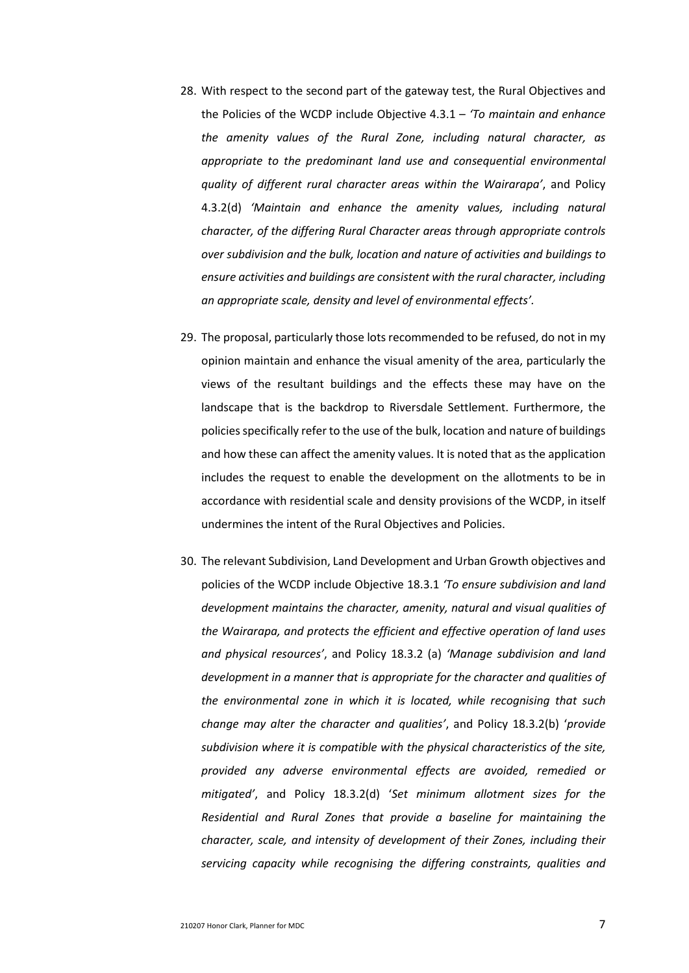- 28. With respect to the second part of the gateway test, the Rural Objectives and the Policies of the WCDP include Objective 4.3.1 – *'To maintain and enhance the amenity values of the Rural Zone, including natural character, as appropriate to the predominant land use and consequential environmental quality of different rural character areas within the Wairarapa'*, and Policy 4.3.2(d) *'Maintain and enhance the amenity values, including natural character, of the differing Rural Character areas through appropriate controls over subdivision and the bulk, location and nature of activities and buildings to ensure activities and buildings are consistent with the rural character, including an appropriate scale, density and level of environmental effects'.*
- 29. The proposal, particularly those lots recommended to be refused, do not in my opinion maintain and enhance the visual amenity of the area, particularly the views of the resultant buildings and the effects these may have on the landscape that is the backdrop to Riversdale Settlement. Furthermore, the policies specifically refer to the use of the bulk, location and nature of buildings and how these can affect the amenity values. It is noted that as the application includes the request to enable the development on the allotments to be in accordance with residential scale and density provisions of the WCDP, in itself undermines the intent of the Rural Objectives and Policies.
- 30. The relevant Subdivision, Land Development and Urban Growth objectives and policies of the WCDP include Objective 18.3.1 *'To ensure subdivision and land development maintains the character, amenity, natural and visual qualities of the Wairarapa, and protects the efficient and effective operation of land uses and physical resources'*, and Policy 18.3.2 (a) *'Manage subdivision and land development in a manner that is appropriate for the character and qualities of the environmental zone in which it is located, while recognising that such change may alter the character and qualities'*, and Policy 18.3.2(b) '*provide subdivision where it is compatible with the physical characteristics of the site, provided any adverse environmental effects are avoided, remedied or mitigated'*, and Policy 18.3.2(d) '*Set minimum allotment sizes for the Residential and Rural Zones that provide a baseline for maintaining the character, scale, and intensity of development of their Zones, including their servicing capacity while recognising the differing constraints, qualities and*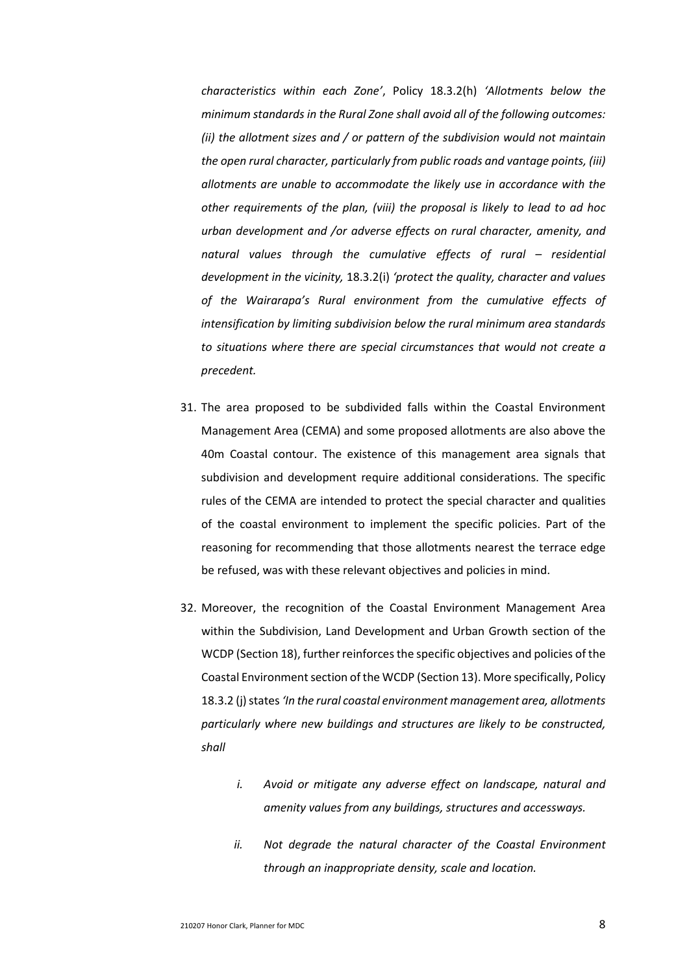*characteristics within each Zone'*, Policy 18.3.2(h) *'Allotments below the minimum standards in the Rural Zone shall avoid all of the following outcomes: (ii) the allotment sizes and / or pattern of the subdivision would not maintain the open rural character, particularly from public roads and vantage points, (iii) allotments are unable to accommodate the likely use in accordance with the other requirements of the plan, (viii) the proposal is likely to lead to ad hoc urban development and /or adverse effects on rural character, amenity, and natural values through the cumulative effects of rural – residential development in the vicinity,* 18.3.2(i) *'protect the quality, character and values of the Wairarapa's Rural environment from the cumulative effects of intensification by limiting subdivision below the rural minimum area standards to situations where there are special circumstances that would not create a precedent.*

- 31. The area proposed to be subdivided falls within the Coastal Environment Management Area (CEMA) and some proposed allotments are also above the 40m Coastal contour. The existence of this management area signals that subdivision and development require additional considerations. The specific rules of the CEMA are intended to protect the special character and qualities of the coastal environment to implement the specific policies. Part of the reasoning for recommending that those allotments nearest the terrace edge be refused, was with these relevant objectives and policies in mind.
- 32. Moreover, the recognition of the Coastal Environment Management Area within the Subdivision, Land Development and Urban Growth section of the WCDP (Section 18), further reinforces the specific objectives and policies of the Coastal Environment section of the WCDP (Section 13). More specifically, Policy 18.3.2 (j) states *'In the rural coastal environment management area, allotments particularly where new buildings and structures are likely to be constructed, shall* 
	- *i. Avoid or mitigate any adverse effect on landscape, natural and amenity values from any buildings, structures and accessways.*
	- *ii. Not degrade the natural character of the Coastal Environment through an inappropriate density, scale and location.*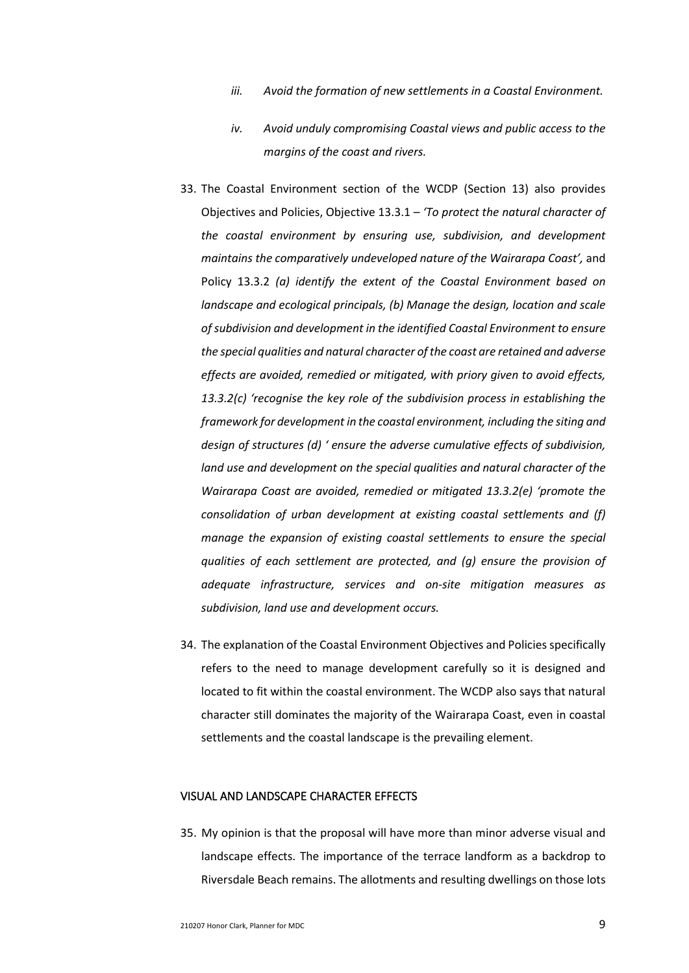- *iii. Avoid the formation of new settlements in a Coastal Environment.*
- *iv. Avoid unduly compromising Coastal views and public access to the margins of the coast and rivers.*
- 33. The Coastal Environment section of the WCDP (Section 13) also provides Objectives and Policies, Objective 13.3.1 – *'To protect the natural character of the coastal environment by ensuring use, subdivision, and development maintains the comparatively undeveloped nature of the Wairarapa Coast',* and Policy 13.3.2 *(a) identify the extent of the Coastal Environment based on landscape and ecological principals, (b) Manage the design, location and scale of subdivision and development in the identified Coastal Environment to ensure the special qualities and natural character of the coast are retained and adverse effects are avoided, remedied or mitigated, with priory given to avoid effects, 13.3.2(c) 'recognise the key role of the subdivision process in establishing the framework for development in the coastal environment, including the siting and design of structures (d) ' ensure the adverse cumulative effects of subdivision, land use and development on the special qualities and natural character of the Wairarapa Coast are avoided, remedied or mitigated 13.3.2(e) 'promote the consolidation of urban development at existing coastal settlements and (f) manage the expansion of existing coastal settlements to ensure the special qualities of each settlement are protected, and (g) ensure the provision of adequate infrastructure, services and on-site mitigation measures as subdivision, land use and development occurs.*
- 34. The explanation of the Coastal Environment Objectives and Policies specifically refers to the need to manage development carefully so it is designed and located to fit within the coastal environment. The WCDP also says that natural character still dominates the majority of the Wairarapa Coast, even in coastal settlements and the coastal landscape is the prevailing element.

### VISUAL AND LANDSCAPE CHARACTER EFFECTS

35. My opinion is that the proposal will have more than minor adverse visual and landscape effects. The importance of the terrace landform as a backdrop to Riversdale Beach remains. The allotments and resulting dwellings on those lots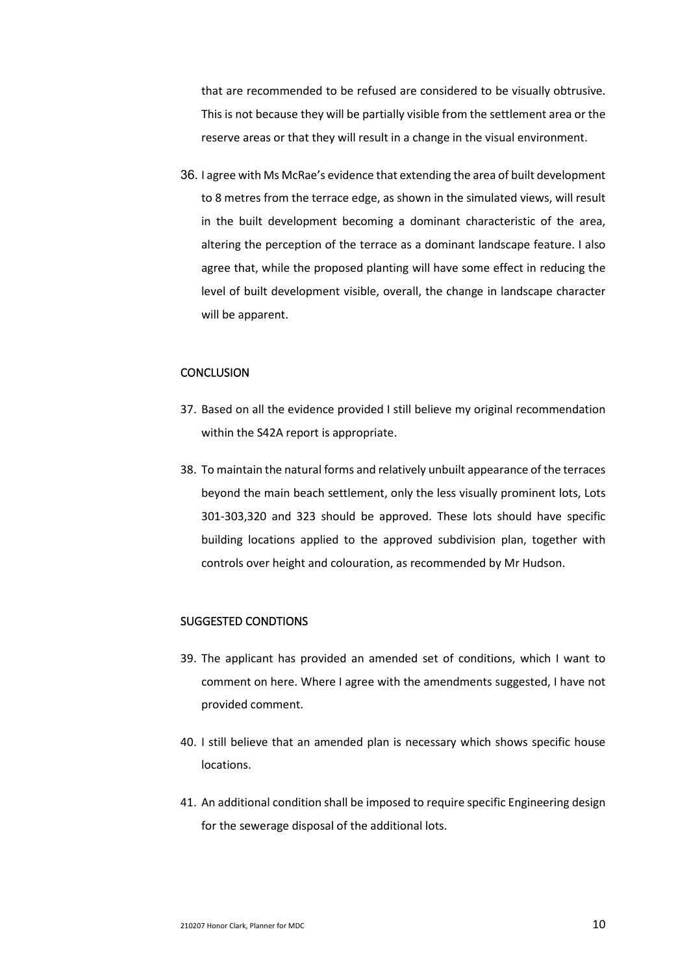that are recommended to be refused are considered to be visually obtrusive. This is not because they will be partially visible from the settlement area or the reserve areas or that they will result in a change in the visual environment.

36. I agree with Ms McRae's evidence that extending the area of built development to 8 metres from the terrace edge, as shown in the simulated views, will result in the built development becoming a dominant characteristic of the area, altering the perception of the terrace as a dominant landscape feature. I also agree that, while the proposed planting will have some effect in reducing the level of built development visible, overall, the change in landscape character will be apparent.

## **CONCLUSION**

- 37. Based on all the evidence provided I still believe my original recommendation within the S42A report is appropriate.
- 38. To maintain the natural forms and relatively unbuilt appearance of the terraces beyond the main beach settlement, only the less visually prominent lots, Lots 301-303,320 and 323 should be approved. These lots should have specific building locations applied to the approved subdivision plan, together with controls over height and colouration, as recommended by Mr Hudson.

### SUGGESTED CONDTIONS

- 39. The applicant has provided an amended set of conditions, which I want to comment on here. Where I agree with the amendments suggested, I have not provided comment.
- 40. I still believe that an amended plan is necessary which shows specific house locations.
- 41. An additional condition shall be imposed to require specific Engineering design for the sewerage disposal of the additional lots.